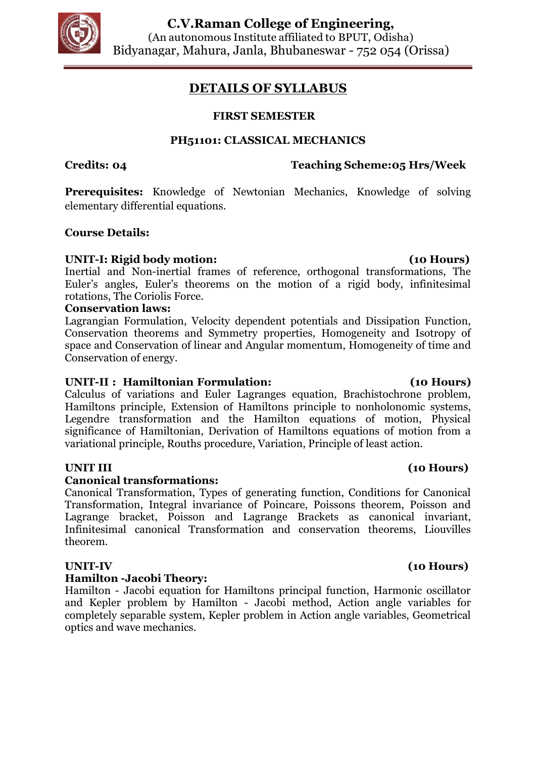

# **DETAILS OF SYLLABUS**

## **FIRST SEMESTER**

### **PH51101: CLASSICAL MECHANICS**

## **Credits: 04 Teaching Scheme:05 Hrs/Week**

**Prerequisites:** Knowledge of Newtonian Mechanics, Knowledge of solving elementary differential equations.

### **Course Details:**

### **UNIT-I: Rigid body motion: (10 Hours)**

Inertial and Non-inertial frames of reference, orthogonal transformations, The Euler's angles, Euler's theorems on the motion of a rigid body, infinitesimal rotations, The Coriolis Force.

### **Conservation laws:**

Lagrangian Formulation, Velocity dependent potentials and Dissipation Function, Conservation theorems and Symmetry properties, Homogeneity and Isotropy of space and Conservation of linear and Angular momentum, Homogeneity of time and Conservation of energy.

### **UNIT-II : Hamiltonian Formulation: (10 Hours)**

Calculus of variations and Euler Lagranges equation, Brachistochrone problem, Hamiltons principle, Extension of Hamiltons principle to nonholonomic systems, Legendre transformation and the Hamilton equations of motion, Physical significance of Hamiltonian, Derivation of Hamiltons equations of motion from a variational principle, Rouths procedure, Variation, Principle of least action.

### **Canonical transformations:**

Canonical Transformation, Types of generating function, Conditions for Canonical Transformation, Integral invariance of Poincare, Poissons theorem, Poisson and Lagrange bracket, Poisson and Lagrange Brackets as canonical invariant, Infinitesimal canonical Transformation and conservation theorems, Liouvilles theorem.

### **Hamilton -Jacobi Theory:**

Hamilton - Jacobi equation for Hamiltons principal function, Harmonic oscillator and Kepler problem by Hamilton - Jacobi method, Action angle variables for completely separable system, Kepler problem in Action angle variables, Geometrical optics and wave mechanics.

# **UNIT III (10 Hours)**

# **UNIT-IV (10 Hours)**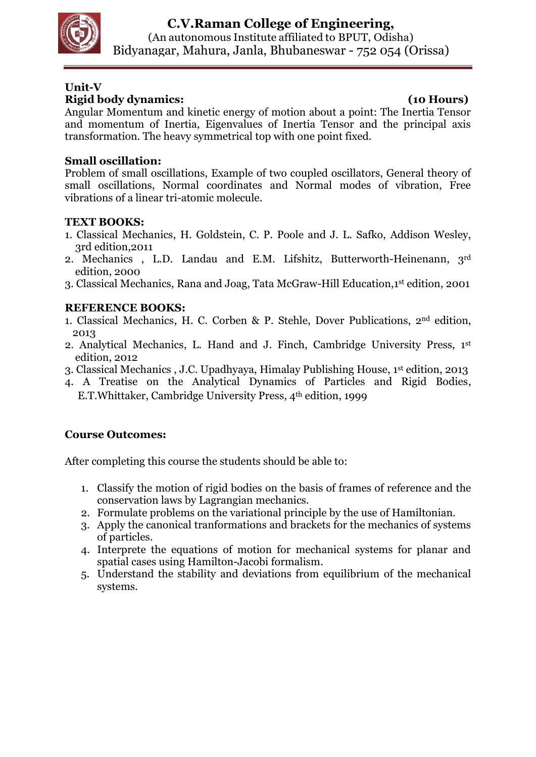

# **Unit-V Rigid body dynamics: (10 Hours)**

Angular Momentum and kinetic energy of motion about a point: The Inertia Tensor and momentum of Inertia, Eigenvalues of Inertia Tensor and the principal axis transformation. The heavy symmetrical top with one point fixed.

# **Small oscillation:**

Problem of small oscillations, Example of two coupled oscillators, General theory of small oscillations, Normal coordinates and Normal modes of vibration, Free vibrations of a linear tri-atomic molecule.

# **TEXT BOOKS:**

- 1. Classical Mechanics, H. Goldstein, C. P. Poole and J. L. Safko, Addison Wesley, 3rd edition,2011
- 2. Mechanics , L.D. Landau and E.M. Lifshitz, Butterworth-Heinenann, 3rd edition, 2000
- 3. Classical Mechanics, Rana and Joag, Tata McGraw-Hill Education,1 st edition, 2001

# **REFERENCE BOOKS:**

- 1. Classical Mechanics, H. C. Corben & P. Stehle, Dover Publications, 2nd edition, 2013
- 2. Analytical Mechanics, L. Hand and J. Finch, Cambridge University Press, 1st edition, 2012
- 3. Classical Mechanics , J.C. Upadhyaya, Himalay Publishing House, 1 st edition, 2013
- 4. A Treatise on the Analytical Dynamics of Particles and Rigid Bodies, E.T. Whittaker, Cambridge University Press, 4<sup>th</sup> edition, 1999

# **Course Outcomes:**

- 1. Classify the motion of rigid bodies on the basis of frames of reference and the conservation laws by Lagrangian mechanics.
- 2. Formulate problems on the variational principle by the use of Hamiltonian.
- 3. Apply the canonical tranformations and brackets for the mechanics of systems of particles.
- 4. Interprete the equations of motion for mechanical systems for planar and spatial cases using Hamilton-Jacobi formalism.
- 5. Understand the stability and deviations from equilibrium of the mechanical systems.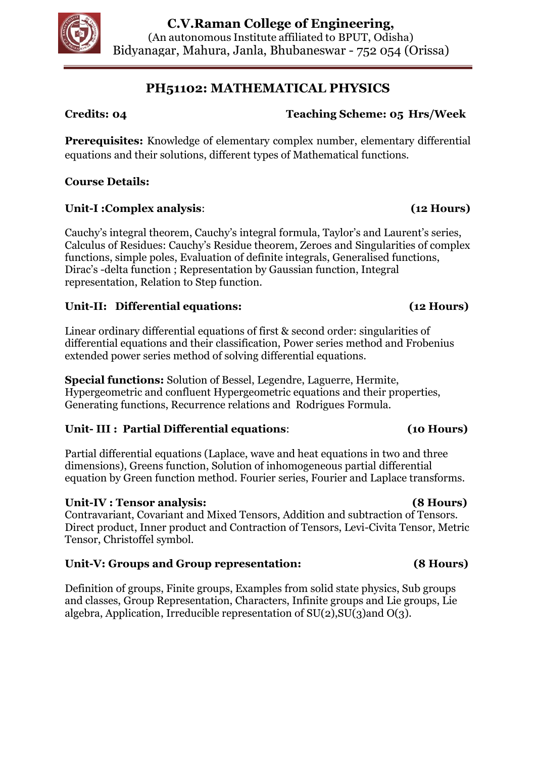

# **PH51102: MATHEMATICAL PHYSICS**

# **Credits: 04 Teaching Scheme: 05 Hrs/Week**

**Prerequisites:** Knowledge of elementary complex number, elementary differential equations and their solutions, different types of Mathematical functions.

# **Course Details:**

# **Unit-I :Complex analysis**: **(12 Hours)**

Cauchy's integral theorem, Cauchy's integral formula, Taylor's and Laurent's series, Calculus of Residues: Cauchy's Residue theorem, Zeroes and Singularities of complex functions, simple poles, Evaluation of definite integrals, Generalised functions, Dirac's -delta function ; Representation by Gaussian function, Integral representation, Relation to Step function.

# **Unit-II: Differential equations: (12 Hours)**

Linear ordinary differential equations of first & second order: singularities of differential equations and their classification, Power series method and Frobenius extended power series method of solving differential equations.

**Special functions:** Solution of Bessel, Legendre, Laguerre, Hermite, Hypergeometric and confluent Hypergeometric equations and their properties, Generating functions, Recurrence relations and Rodrigues Formula.

# **Unit- III : Partial Differential equations**: **(10 Hours)**

Partial differential equations (Laplace, wave and heat equations in two and three dimensions), Greens function, Solution of inhomogeneous partial differential equation by Green function method. Fourier series, Fourier and Laplace transforms.

# **Unit-IV : Tensor analysis: (8 Hours)**

Contravariant, Covariant and Mixed Tensors, Addition and subtraction of Tensors. Direct product, Inner product and Contraction of Tensors, Levi-Civita Tensor, Metric Tensor, Christoffel symbol.

# **Unit-V: Groups and Group representation: (8 Hours)**

Definition of groups, Finite groups, Examples from solid state physics, Sub groups and classes, Group Representation, Characters, Infinite groups and Lie groups, Lie algebra, Application, Irreducible representation of  $SU(2)$ ,  $SU(3)$  and  $O(3)$ .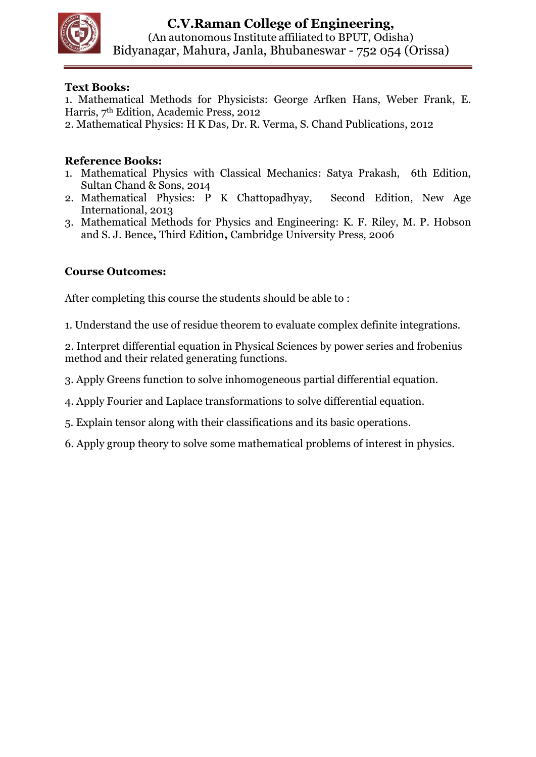

1. Mathematical Methods for Physicists: George Arfken Hans, Weber Frank, E. Harris, 7th Edition, Academic Press, 2012

2. Mathematical Physics: H K Das, Dr. R. Verma, S. Chand Publications, 2012

## **Reference Books:**

- 1. Mathematical Physics with Classical Mechanics: Satya Prakash, 6th Edition, Sultan Chand & Sons, 2014
- 2. Mathematical Physics: [P K Chattopadhyay,](https://www.amazon.in/P-K-Chattopadhyay/e/B001KDQFBY/ref=sr_ntt_srch_lnk_1?qid=1525411251&sr=1-1) Second Edition, New Age International, 2013
- 3. Mathematical Methods for Physics and Engineering: K. F. Riley, M. P. Hobson and S. J. Bence**,** Third Edition**,** Cambridge University Press, 2006

## **Course Outcomes:**

After completing this course the students should be able to :

1. Understand the use of residue theorem to evaluate complex definite integrations.

2. Interpret differential equation in Physical Sciences by power series and frobenius method and their related generating functions.

- 3. Apply Greens function to solve inhomogeneous partial differential equation.
- 4. Apply Fourier and Laplace transformations to solve differential equation.
- 5. Explain tensor along with their classifications and its basic operations.
- 6. Apply group theory to solve some mathematical problems of interest in physics.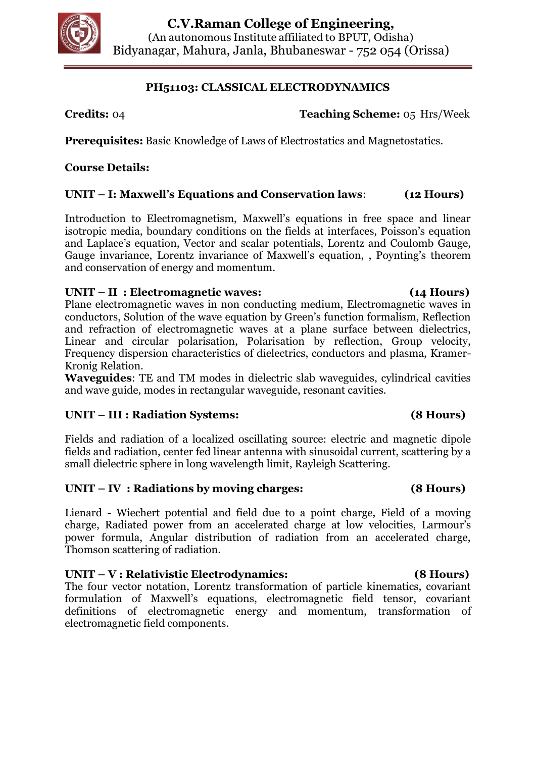

## **PH51103: CLASSICAL ELECTRODYNAMICS**

**Credits:** 04 **Teaching Scheme:** 05 Hrs/Week

**Prerequisites:** Basic Knowledge of Laws of Electrostatics and Magnetostatics.

## **Course Details:**

## **UNIT – I: Maxwell's Equations and Conservation laws**: **(12 Hours)**

Introduction to Electromagnetism, Maxwell's equations in free space and linear isotropic media, boundary conditions on the fields at interfaces, Poisson's equation and Laplace's equation, Vector and scalar potentials, Lorentz and Coulomb Gauge, Gauge invariance, Lorentz invariance of Maxwell's equation, , Poynting's theorem and conservation of energy and momentum.

### **UNIT – II : Electromagnetic waves: (14 Hours)**

Plane electromagnetic waves in non conducting medium, Electromagnetic waves in conductors, Solution of the wave equation by Green's function formalism, Reflection and refraction of electromagnetic waves at a plane surface between dielectrics, Linear and circular polarisation, Polarisation by reflection, Group velocity, Frequency dispersion characteristics of dielectrics, conductors and plasma, Kramer-Kronig Relation.

**Waveguides**: TE and TM modes in dielectric slab waveguides, cylindrical cavities and wave guide, modes in rectangular waveguide, resonant cavities.

# **UNIT – III : Radiation Systems: (8 Hours)**

Fields and radiation of a localized oscillating source: electric and magnetic dipole fields and radiation, center fed linear antenna with sinusoidal current, scattering by a small dielectric sphere in long wavelength limit, Rayleigh Scattering.

### **UNIT – IV : Radiations by moving charges: (8 Hours)**

Lienard - Wiechert potential and field due to a point charge, Field of a moving charge, Radiated power from an accelerated charge at low velocities, Larmour's power formula, Angular distribution of radiation from an accelerated charge, Thomson scattering of radiation.

### **UNIT – V : Relativistic Electrodynamics: (8 Hours)**

The four vector notation, Lorentz transformation of particle kinematics, covariant formulation of Maxwell's equations, electromagnetic field tensor, covariant definitions of electromagnetic energy and momentum, transformation of electromagnetic field components.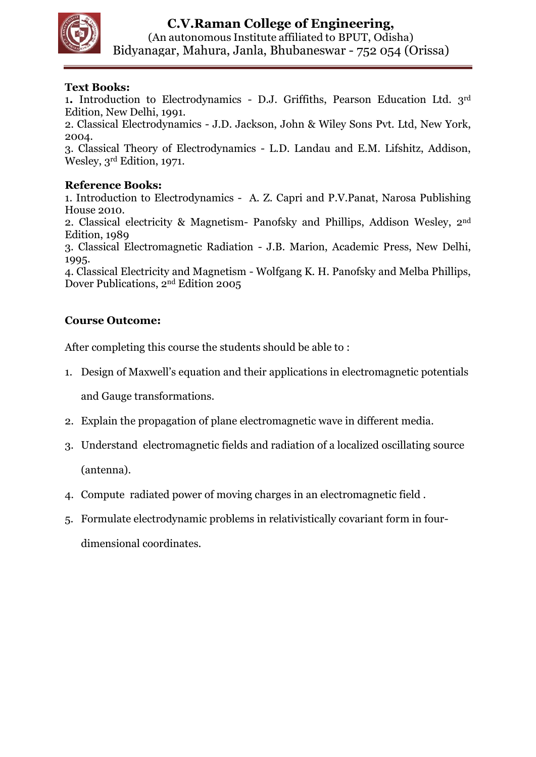

1**.** Introduction to Electrodynamics - D.J. Griffiths, Pearson Education Ltd. 3rd Edition, New Delhi, 1991.

2. Classical Electrodynamics - J.D. Jackson, John & Wiley Sons Pvt. Ltd, New York, 2004.

3. Classical Theory of Electrodynamics - L.D. Landau and E.M. Lifshitz, Addison, Wesley, 3rd Edition, 1971.

### **Reference Books:**

1. Introduction to Electrodynamics - A. Z. Capri and P.V.Panat, Narosa Publishing House 2010.

2. Classical electricity & Magnetism- Panofsky and Phillips, Addison Wesley, 2nd Edition, 1989

3. Classical Electromagnetic Radiation - J.B. Marion, Academic Press, New Delhi, 1995.

4. Classical Electricity and Magnetism - Wolfgang K. H. Panofsky and Melba Phillips, Dover Publications, 2nd Edition 2005

## **Course Outcome:**

After completing this course the students should be able to :

1. Design of Maxwell's equation and their applications in electromagnetic potentials

and Gauge transformations.

- 2. Explain the propagation of plane electromagnetic wave in different media.
- 3. Understand electromagnetic fields and radiation of a localized oscillating source (antenna).
- 4. Compute radiated power of moving charges in an electromagnetic field .
- 5. Formulate electrodynamic problems in relativistically covariant form in fourdimensional coordinates.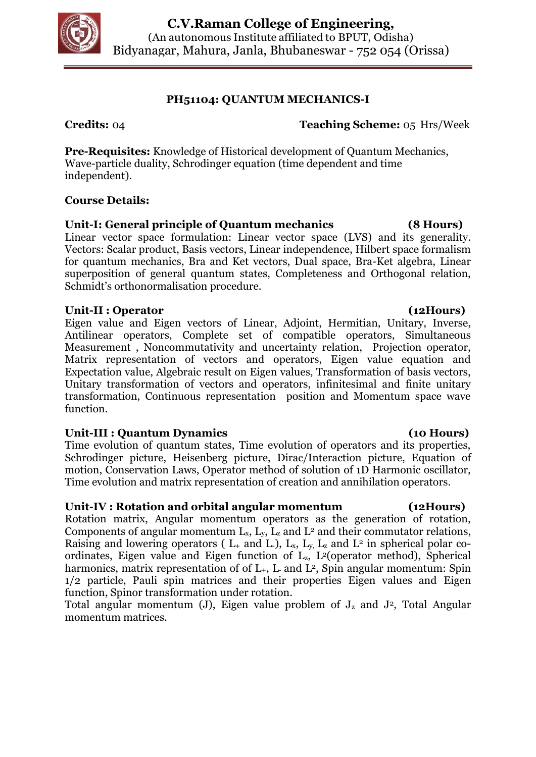

## **PH51104: QUANTUM MECHANICS-I**

**Credits:** 04 **Teaching Scheme:** 05 Hrs/Week

**Pre-Requisites:** Knowledge of Historical development of Quantum Mechanics, Wave-particle duality, Schrodinger equation (time dependent and time independent).

## **Course Details:**

## **Unit-I: General principle of Quantum mechanics (8 Hours)**

Linear vector space formulation: Linear vector space (LVS) and its generality. Vectors: Scalar product, Basis vectors, Linear independence, Hilbert space formalism for quantum mechanics, Bra and Ket vectors, Dual space, Bra-Ket algebra, Linear superposition of general quantum states, Completeness and Orthogonal relation, Schmidt's orthonormalisation procedure.

## **Unit-II : Operator (12Hours)**

Eigen value and Eigen vectors of Linear, Adjoint, Hermitian, Unitary, Inverse, Antilinear operators, Complete set of compatible operators, Simultaneous Measurement , Noncommutativity and uncertainty relation, Projection operator, Matrix representation of vectors and operators, Eigen value equation and Expectation value, Algebraic result on Eigen values, Transformation of basis vectors, Unitary transformation of vectors and operators, infinitesimal and finite unitary transformation, Continuous representation position and Momentum space wave function.

# **Unit-III : Quantum Dynamics (10 Hours)**

Time evolution of quantum states, Time evolution of operators and its properties, Schrodinger picture, Heisenberg picture, Dirac/Interaction picture, Equation of motion, Conservation Laws, Operator method of solution of 1D Harmonic oscillator, Time evolution and matrix representation of creation and annihilation operators.

# **Unit-IV : Rotation and orbital angular momentum (12Hours)**

Rotation matrix, Angular momentum operators as the generation of rotation, Components of angular momentum  $L_x$ ,  $L_y$ ,  $L_z$  and  $L^2$  and their commutator relations, Raising and lowering operators ( $L_{+}$  and  $L_{-}$ ),  $L_{x}$ ,  $L_{y}$ ,  $L_{z}$  and  $L_{-}$  in spherical polar coordinates, Eigen value and Eigen function of Lz, L2(operator method), Spherical harmonics, matrix representation of of  $L_{+}$ ,  $L_{-}$  and  $L^{2}$ , Spin angular momentum: Spin 1/2 particle, Pauli spin matrices and their properties Eigen values and Eigen function, Spinor transformation under rotation.

Total angular momentum (J), Eigen value problem of  $J_z$  and  $J<sup>2</sup>$ , Total Angular momentum matrices.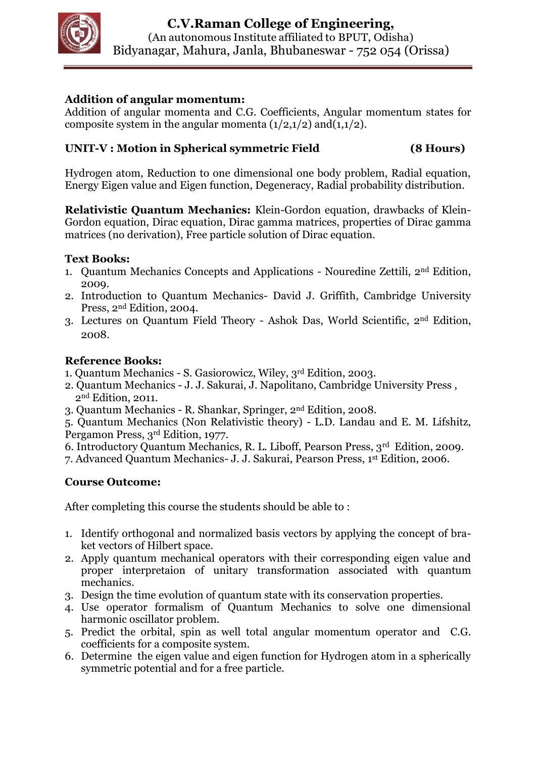

# **Addition of angular momentum:**

Addition of angular momenta and C.G. Coefficients, Angular momentum states for composite system in the angular momenta  $(1/2,1/2)$  and $(1,1/2)$ .

## **UNIT-V : Motion in Spherical symmetric Field (8 Hours)**

Hydrogen atom, Reduction to one dimensional one body problem, Radial equation, Energy Eigen value and Eigen function, Degeneracy, Radial probability distribution.

**Relativistic Quantum Mechanics:** Klein-Gordon equation, drawbacks of Klein-Gordon equation, Dirac equation, Dirac gamma matrices, properties of Dirac gamma matrices (no derivation), Free particle solution of Dirac equation.

## **Text Books:**

- 1. Quantum Mechanics Concepts and Applications Nouredine Zettili, 2nd Edition, 2009.
- 2. Introduction to Quantum Mechanics- David J. Griffith, Cambridge University Press, 2nd Edition, 2004.
- 3. Lectures on Quantum Field Theory Ashok Das, World Scientific, 2nd Edition, 2008.

## **Reference Books:**

- 1. Quantum Mechanics S. Gasiorowicz, Wiley, 3rd Edition, 2003.
- 2. Quantum Mechanics J. J. Sakurai, J. Napolitano, Cambridge University Press , 2nd Edition, 2011.
- 3. Quantum Mechanics R. Shankar, Springer, 2nd Edition, 2008.

5. Quantum Mechanics (Non Relativistic theory) - L.D. Landau and E. M. Lifshitz, Pergamon Press, 3rd Edition, 1977.

6. Introductory Quantum Mechanics, R. L. Liboff, Pearson Press, 3rd Edition, 2009.

7. Advanced Quantum Mechanics- J. J. Sakurai, Pearson Press, 1st Edition, 2006.

# **Course Outcome:**

- 1. Identify orthogonal and normalized basis vectors by applying the concept of braket vectors of Hilbert space.
- 2. Apply quantum mechanical operators with their corresponding eigen value and proper interpretaion of unitary transformation associated with quantum mechanics.
- 3. Design the time evolution of quantum state with its conservation properties.
- 4. Use operator formalism of Quantum Mechanics to solve one dimensional harmonic oscillator problem.
- 5. Predict the orbital, spin as well total angular momentum operator and C.G. coefficients for a composite system.
- 6. Determine the eigen value and eigen function for Hydrogen atom in a spherically symmetric potential and for a free particle.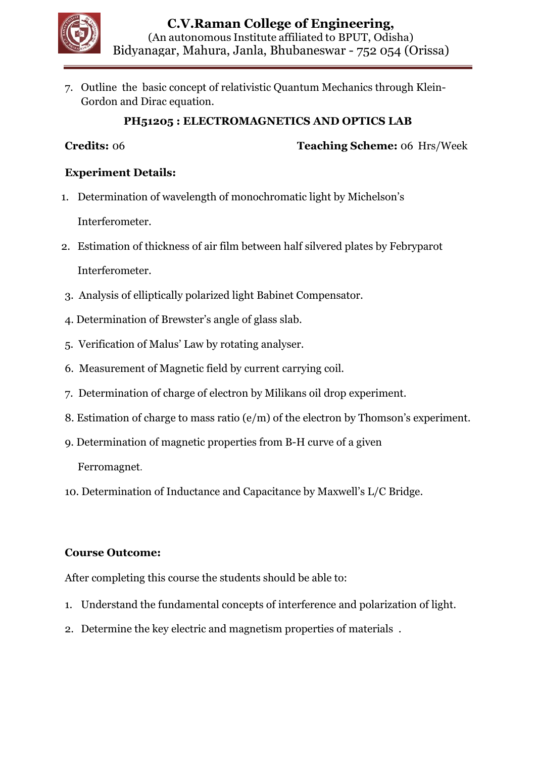

7. Outline the basic concept of relativistic Quantum Mechanics through Klein-Gordon and Dirac equation.

# **PH51205 : ELECTROMAGNETICS AND OPTICS LAB**

**Credits:** 06 **Teaching Scheme:** 06 Hrs/Week

# **Experiment Details:**

1. Determination of wavelength of monochromatic light by Michelson's

Interferometer.

- 2. Estimation of thickness of air film between half silvered plates by Febryparot Interferometer.
- 3. Analysis of elliptically polarized light Babinet Compensator.
- 4. Determination of Brewster's angle of glass slab.
- 5. Verification of Malus' Law by rotating analyser.
- 6. Measurement of Magnetic field by current carrying coil.
- 7. Determination of charge of electron by Milikans oil drop experiment.
- 8. Estimation of charge to mass ratio (e/m) of the electron by Thomson's experiment.
- 9. Determination of magnetic properties from B-H curve of a given

Ferromagnet.

10. Determination of Inductance and Capacitance by Maxwell's L/C Bridge.

# **Course Outcome:**

- 1. Understand the fundamental concepts of interference and polarization of light.
- 2. Determine the key electric and magnetism properties of materials .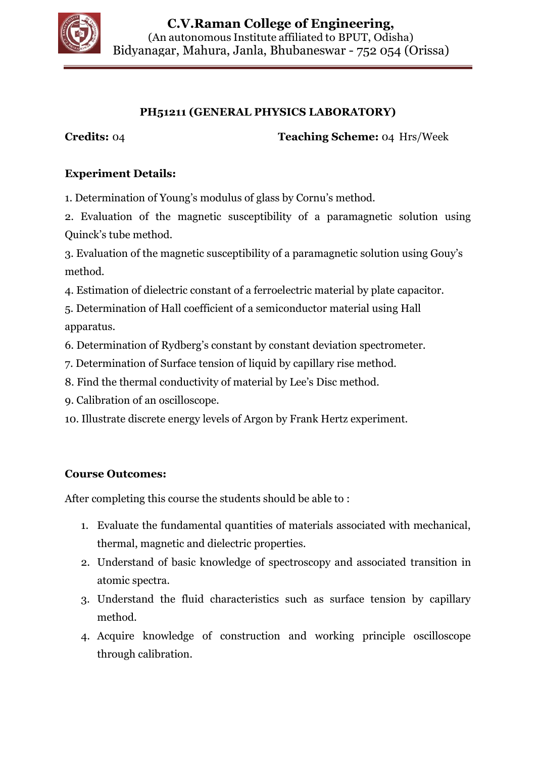

# **PH51211 (GENERAL PHYSICS LABORATORY)**

**Credits:** 04 **Teaching Scheme:** 04 Hrs/Week

# **Experiment Details:**

1. Determination of Young's modulus of glass by Cornu's method.

2. Evaluation of the magnetic susceptibility of a paramagnetic solution using Quinck's tube method.

3. Evaluation of the magnetic susceptibility of a paramagnetic solution using Gouy's method.

4. Estimation of dielectric constant of a ferroelectric material by plate capacitor.

5. Determination of Hall coefficient of a semiconductor material using Hall apparatus.

6. Determination of Rydberg's constant by constant deviation spectrometer.

- 7. Determination of Surface tension of liquid by capillary rise method.
- 8. Find the thermal conductivity of material by Lee's Disc method.
- 9. Calibration of an oscilloscope.

10. Illustrate discrete energy levels of Argon by Frank Hertz experiment.

# **Course Outcomes:**

- 1. Evaluate the fundamental quantities of materials associated with mechanical, thermal, magnetic and dielectric properties.
- 2. Understand of basic knowledge of spectroscopy and associated transition in atomic spectra.
- 3. Understand the fluid characteristics such as surface tension by capillary method.
- 4. Acquire knowledge of construction and working principle oscilloscope through calibration.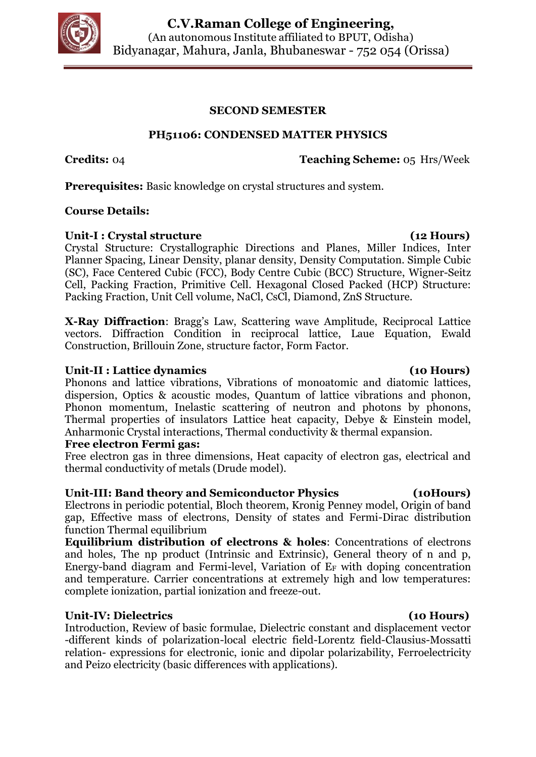

### **SECOND SEMESTER**

## **PH51106: CONDENSED MATTER PHYSICS**

**Credits:** 04 **Teaching Scheme:** 05 Hrs/Week

**Prerequisites:** Basic knowledge on crystal structures and system.

### **Course Details:**

### Unit-I : Crystal structure (12 Hours)

Crystal Structure: Crystallographic Directions and Planes, Miller Indices, Inter Planner Spacing, Linear Density, planar density, Density Computation. Simple Cubic (SC), Face Centered Cubic (FCC), Body Centre Cubic (BCC) Structure, Wigner-Seitz Cell, Packing Fraction, Primitive Cell. Hexagonal Closed Packed (HCP) Structure: Packing Fraction, Unit Cell volume, NaCl, CsCl, Diamond, ZnS Structure.

**X-Ray Diffraction**: Bragg's Law, Scattering wave Amplitude, Reciprocal Lattice vectors. Diffraction Condition in reciprocal lattice, Laue Equation, Ewald Construction, Brillouin Zone, structure factor, Form Factor.

### **Unit-II : Lattice dynamics (10 Hours)**

Phonons and lattice vibrations, Vibrations of monoatomic and diatomic lattices, dispersion, Optics & acoustic modes, Quantum of lattice vibrations and phonon, Phonon momentum, Inelastic scattering of neutron and photons by phonons, Thermal properties of insulators Lattice heat capacity, Debye & Einstein model, Anharmonic Crystal interactions, Thermal conductivity & thermal expansion.

### **Free electron Fermi gas:**

Free electron gas in three dimensions, Heat capacity of electron gas, electrical and thermal conductivity of metals (Drude model).

### **Unit-III: Band theory and Semiconductor Physics (10Hours)**

Electrons in periodic potential, Bloch theorem, Kronig Penney model, Origin of band gap, Effective mass of electrons, Density of states and Fermi-Dirac distribution function Thermal equilibrium

**Equilibrium distribution of electrons & holes**: Concentrations of electrons and holes, The np product (Intrinsic and Extrinsic), General theory of n and p, Energy-band diagram and Fermi-level, Variation of  $E_F$  with doping concentration and temperature. Carrier concentrations at extremely high and low temperatures: complete ionization, partial ionization and freeze-out.

## **Unit-IV: Dielectrics (10 Hours)**

Introduction, Review of basic formulae, Dielectric constant and displacement vector -different kinds of polarization-local electric field-Lorentz field-Clausius-Mossatti relation- expressions for electronic, ionic and dipolar polarizability, Ferroelectricity and Peizo electricity (basic differences with applications).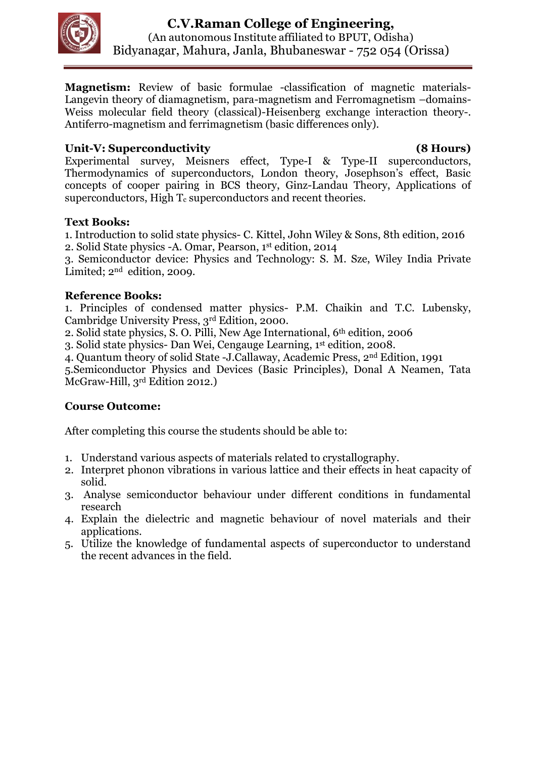

**Magnetism:** Review of basic formulae -classification of magnetic materials-Langevin theory of diamagnetism, para-magnetism and Ferromagnetism –domains-Weiss molecular field theory (classical)-Heisenberg exchange interaction theory-. Antiferro-magnetism and ferrimagnetism (basic differences only).

# **Unit-V: Superconductivity (8 Hours)**

Experimental survey, Meisners effect, Type-I & Type-II superconductors, Thermodynamics of superconductors, London theory, Josephson's effect, Basic concepts of cooper pairing in BCS theory, Ginz-Landau Theory, Applications of superconductors, High  $T_c$  superconductors and recent theories.

## **Text Books:**

1. Introduction to solid state physics- C. Kittel, John Wiley & Sons, 8th edition, 2016 2. Solid State physics -A. Omar, Pearson, 1st edition, 2014

3. Semiconductor device: Physics and Technology: S. M. Sze, Wiley India Private Limited;  $2<sup>nd</sup>$  edition, 2009.

# **Reference Books:**

1. Principles of condensed matter physics- P.M. Chaikin and T.C. Lubensky, Cambridge University Press, 3rd Edition, 2000.

2. Solid state physics, S. O. Pilli, New Age International, 6th edition, 2006

3. Solid state physics- Dan Wei, Cengauge Learning, 1st edition, 2008.

4. Quantum theory of solid State -J.Callaway, Academic Press, 2nd Edition, 1991

5.Semiconductor Physics and Devices (Basic Principles), Donal A Neamen, Tata McGraw-Hill, 3rd Edition 2012.)

# **Course Outcome:**

- 1. Understand various aspects of materials related to crystallography.
- 2. Interpret phonon vibrations in various lattice and their effects in heat capacity of solid.
- 3. Analyse semiconductor behaviour under different conditions in fundamental research
- 4. Explain the dielectric and magnetic behaviour of novel materials and their applications.
- 5. Utilize the knowledge of fundamental aspects of superconductor to understand the recent advances in the field.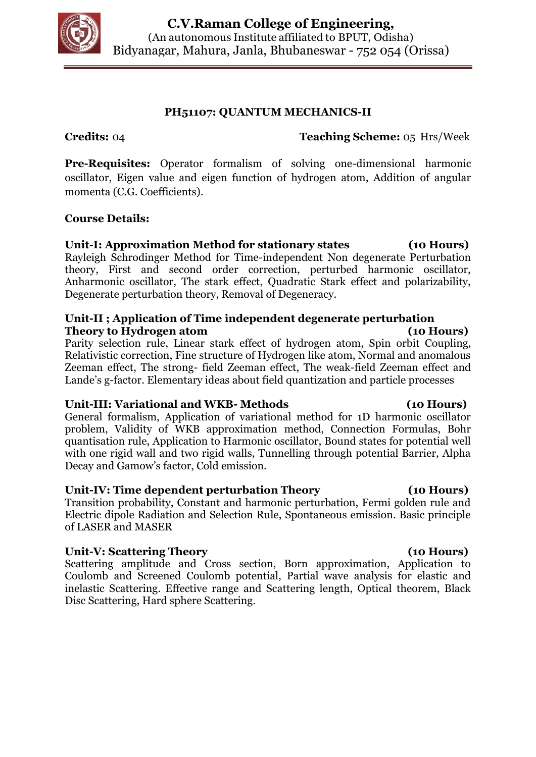

## **PH51107: QUANTUM MECHANICS-II**

**Credits:** 04 **Teaching Scheme:** 05 Hrs/Week

**Pre-Requisites:** Operator formalism of solving one-dimensional harmonic oscillator, Eigen value and eigen function of hydrogen atom, Addition of angular momenta (C.G. Coefficients).

### **Course Details:**

## **Unit-I: Approximation Method for stationary states (10 Hours)**

Rayleigh Schrodinger Method for Time-independent Non degenerate Perturbation theory, First and second order correction, perturbed harmonic oscillator, Anharmonic oscillator, The stark effect, Quadratic Stark effect and polarizability, Degenerate perturbation theory, Removal of Degeneracy.

### **Unit-II ; Application of Time independent degenerate perturbation Theory to Hydrogen atom (10 Hours)**

Parity selection rule, Linear stark effect of hydrogen atom, Spin orbit Coupling, Relativistic correction, Fine structure of Hydrogen like atom, Normal and anomalous Zeeman effect, The strong- field Zeeman effect, The weak-field Zeeman effect and Lande's g-factor. Elementary ideas about field quantization and particle processes

### **Unit-III: Variational and WKB- Methods (10 Hours)**

General formalism, Application of variational method for 1D harmonic oscillator problem, Validity of WKB approximation method, Connection Formulas, Bohr quantisation rule, Application to Harmonic oscillator, Bound states for potential well with one rigid wall and two rigid walls, Tunnelling through potential Barrier, Alpha Decay and Gamow's factor, Cold emission.

### **Unit-IV: Time dependent perturbation Theory (10 Hours)**

Transition probability, Constant and harmonic perturbation, Fermi golden rule and Electric dipole Radiation and Selection Rule, Spontaneous emission. Basic principle of LASER and MASER

### Unit-V: Scattering Theory (10 Hours)

Scattering amplitude and Cross section, Born approximation, Application to Coulomb and Screened Coulomb potential, Partial wave analysis for elastic and inelastic Scattering. Effective range and Scattering length, Optical theorem, Black Disc Scattering, Hard sphere Scattering.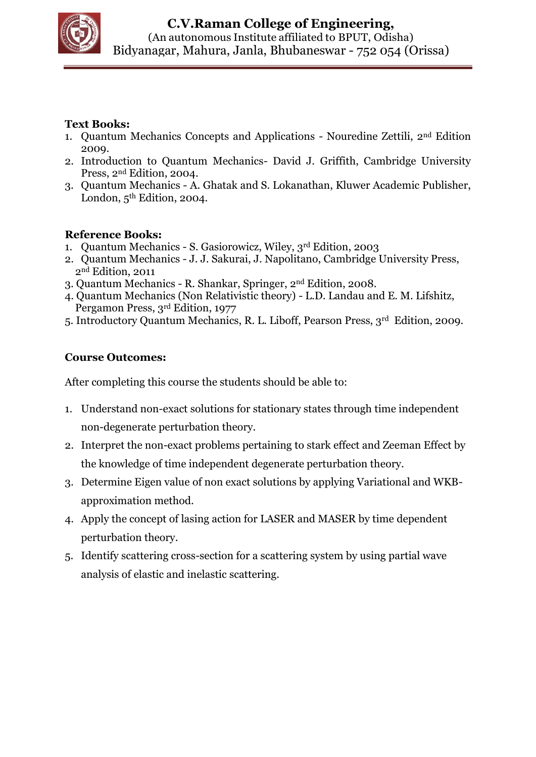

- 1. Quantum Mechanics Concepts and Applications Nouredine Zettili, 2nd Edition 2009.
- 2. Introduction to Quantum Mechanics- David J. Griffith, Cambridge University Press, 2nd Edition, 2004.
- 3. Quantum Mechanics A. Ghatak and S. Lokanathan, Kluwer Academic Publisher, London,  $5<sup>th</sup>$  Edition, 2004.

# **Reference Books:**

- 1. Quantum Mechanics S. Gasiorowicz, Wiley, 3rd Edition, 2003
- 2. Quantum Mechanics J. J. Sakurai, J. Napolitano, Cambridge University Press, 2nd Edition, 2011
- 3. Quantum Mechanics R. Shankar, Springer, 2nd Edition, 2008.
- 4. Quantum Mechanics (Non Relativistic theory) L.D. Landau and E. M. Lifshitz, Pergamon Press, 3rd Edition, 1977
- 5. Introductory Quantum Mechanics, R. L. Liboff, Pearson Press, 3rd Edition, 2009.

# **Course Outcomes:**

- 1. Understand non-exact solutions for stationary states through time independent non-degenerate perturbation theory.
- 2. Interpret the non-exact problems pertaining to stark effect and Zeeman Effect by the knowledge of time independent degenerate perturbation theory.
- 3. Determine Eigen value of non exact solutions by applying Variational and WKBapproximation method.
- 4. Apply the concept of lasing action for LASER and MASER by time dependent perturbation theory.
- 5. Identify scattering cross-section for a scattering system by using partial wave analysis of elastic and inelastic scattering.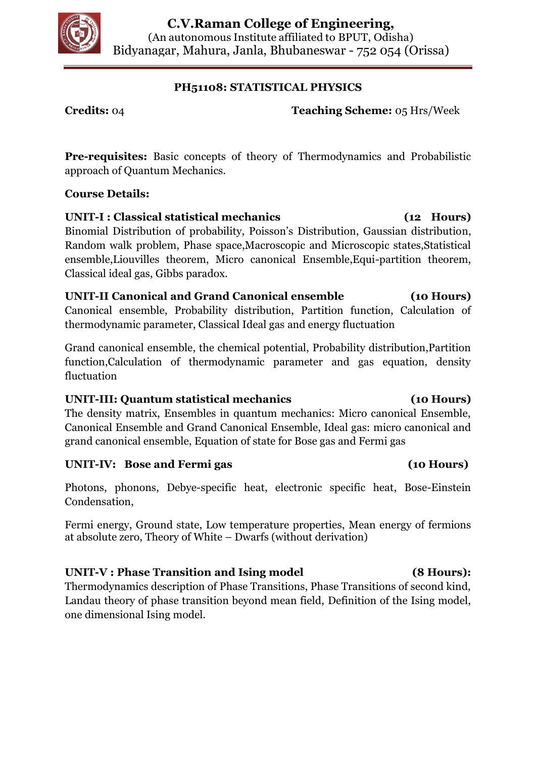

# **PH51108: STATISTICAL PHYSICS**

**Credits:** 04 **Teaching Scheme:** 05 Hrs/Week

**Pre-requisites:** Basic concepts of theory of Thermodynamics and Probabilistic approach of Quantum Mechanics.

# **Course Details:**

**UNIT-I : Classical statistical mechanics (12 Hours)** Binomial Distribution of probability, Poisson's Distribution, Gaussian distribution, Random walk problem, Phase space,Macroscopic and Microscopic states,Statistical ensemble,Liouvilles theorem, Micro canonical Ensemble,Equi-partition theorem, Classical ideal gas, Gibbs paradox.

## **UNIT-II Canonical and Grand Canonical ensemble (10 Hours)** Canonical ensemble, Probability distribution, Partition function, Calculation of thermodynamic parameter, Classical Ideal gas and energy fluctuation

Grand canonical ensemble, the chemical potential, Probability distribution,Partition function,Calculation of thermodynamic parameter and gas equation, density fluctuation

# **UNIT-III: Quantum statistical mechanics (10 Hours)**

The density matrix, Ensembles in quantum mechanics: Micro canonical Ensemble, Canonical Ensemble and Grand Canonical Ensemble, Ideal gas: micro canonical and grand canonical ensemble, Equation of state for Bose gas and Fermi gas

# **UNIT-IV: Bose and Fermi gas (10 Hours)**

Photons, phonons, Debye-specific heat, electronic specific heat, Bose-Einstein Condensation,

Fermi energy, Ground state, Low temperature properties, Mean energy of fermions at absolute zero, Theory of White – Dwarfs (without derivation)

# **UNIT-V : Phase Transition and Ising model (8 Hours):**

Thermodynamics description of Phase Transitions, Phase Transitions of second kind, Landau theory of phase transition beyond mean field, Definition of the Ising model, one dimensional Ising model.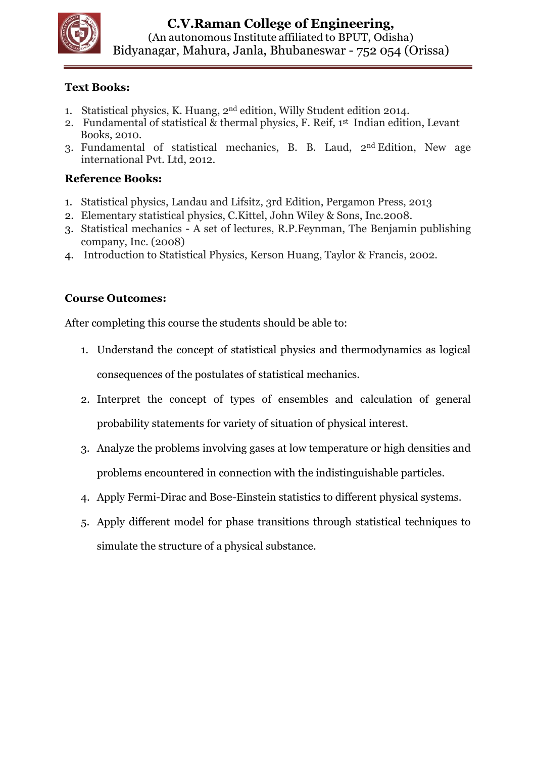

- 1. Statistical physics, K. Huang, 2nd edition, Willy Student edition 2014.
- 2. Fundamental of statistical & thermal physics, F. Reif, 1st Indian edition, Levant Books, 2010.
- 3. Fundamental of statistical mechanics, B. B. Laud, 2nd Edition, New age international Pvt. Ltd, 2012.

## **Reference Books:**

- 1. Statistical physics, Landau and Lifsitz, 3rd Edition, Pergamon Press, 2013
- 2. Elementary statistical physics, C.Kittel, John Wiley & Sons, Inc.2008.
- 3. Statistical mechanics A set of lectures, R.P.Feynman, The Benjamin publishing company, Inc. (2008)
- 4. Introduction to Statistical Physics, Kerson Huang, Taylor & Francis, 2002.

## **Course Outcomes:**

- 1. Understand the concept of statistical physics and thermodynamics as logical consequences of the postulates of statistical mechanics.
- 2. Interpret the concept of types of ensembles and calculation of general probability statements for variety of situation of physical interest.
- 3. Analyze the problems involving gases at low temperature or high densities and problems encountered in connection with the indistinguishable particles.
- 4. Apply Fermi-Dirac and Bose-Einstein statistics to different physical systems.
- 5. Apply different model for phase transitions through statistical techniques to simulate the structure of a physical substance.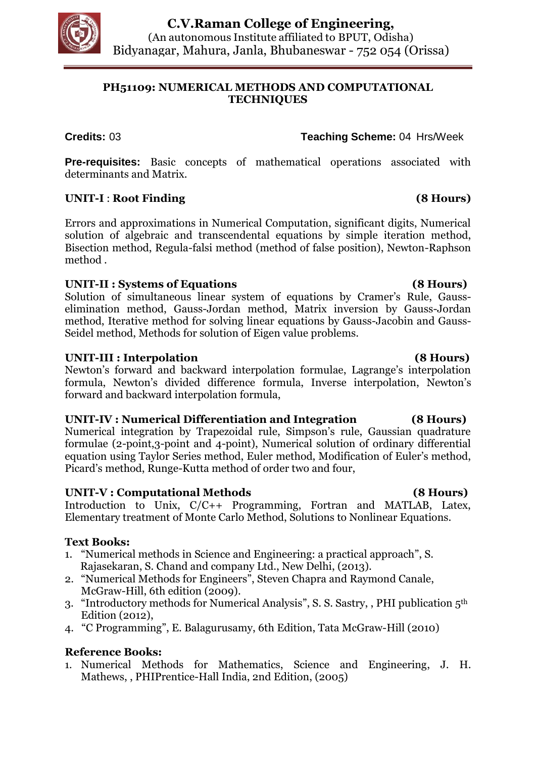

# **PH51109: NUMERICAL METHODS AND COMPUTATIONAL TECHNIQUES**

**Credits:** 03 **Teaching Scheme:** 04 Hrs/Week

**Pre-requisites:** Basic concepts of mathematical operations associated with determinants and Matrix.

# **UNIT-I** : **Root Finding (8 Hours)**

Errors and approximations in Numerical Computation, significant digits, Numerical solution of algebraic and transcendental equations by simple iteration method, Bisection method, Regula-falsi method (method of false position), Newton-Raphson method .

# **UNIT-II : Systems of Equations (8 Hours)**

Solution of simultaneous linear system of equations by Cramer's Rule, Gausselimination method, Gauss-Jordan method, Matrix inversion by Gauss-Jordan method, Iterative method for solving linear equations by Gauss-Jacobin and Gauss-Seidel method, Methods for solution of Eigen value problems.

# **UNIT-III : Interpolation (8 Hours)**

Newton's forward and backward interpolation formulae, Lagrange's interpolation formula, Newton's divided difference formula, Inverse interpolation, Newton's forward and backward interpolation formula,

# **UNIT-IV : Numerical Differentiation and Integration (8 Hours)**

Numerical integration by Trapezoidal rule, Simpson's rule, Gaussian quadrature formulae (2-point,3-point and 4-point), Numerical solution of ordinary differential equation using Taylor Series method, Euler method, Modification of Euler's method, Picard's method, Runge-Kutta method of order two and four,

# **UNIT-V : Computational Methods (8 Hours)**

Introduction to Unix, C/C++ Programming, Fortran and MATLAB, Latex, Elementary treatment of Monte Carlo Method, Solutions to Nonlinear Equations.

# **Text Books:**

- 1. "Numerical methods in Science and Engineering: a practical approach", S. Rajasekaran, S. Chand and company Ltd., New Delhi, (2013).
- 2. "Numerical Methods for Engineers", Steven Chapra and Raymond Canale, McGraw-Hill, 6th edition (2009).
- 3. "Introductory methods for Numerical Analysis", S. S. Sastry, , PHI publication 5th Edition (2012),
- 4. "C Programming", E. Balagurusamy, 6th Edition, Tata McGraw-Hill (2010)

# **Reference Books:**

1. Numerical Methods for Mathematics, Science and Engineering, J. H. Mathews, , PHIPrentice-Hall India, 2nd Edition, (2005)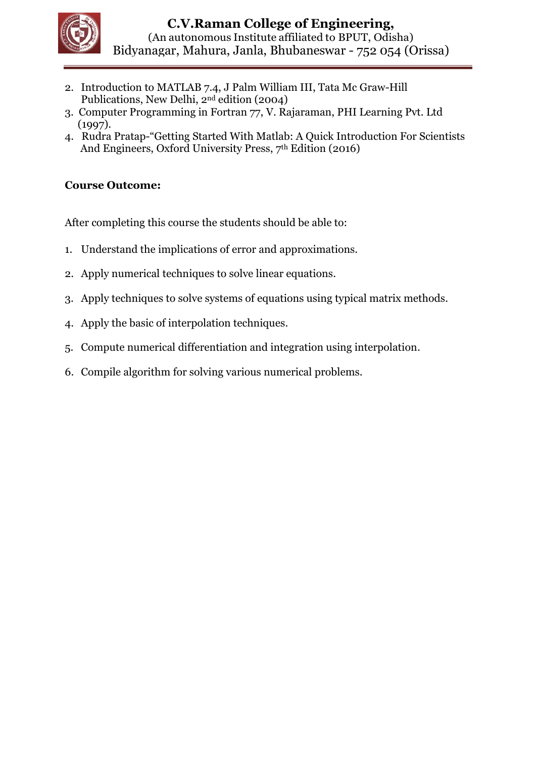

- 2. Introduction to MATLAB 7.4, J Palm William III, Tata Mc Graw-Hill Publications, New Delhi, 2nd edition (2004)
- 3. Computer Programming in Fortran 77, V. Rajaraman, PHI Learning Pvt. Ltd (1997).
- 4. Rudra Pratap-"Getting Started With Matlab: A Quick Introduction For Scientists And Engineers, Oxford University Press, 7th Edition (2016)

# **Course Outcome:**

- 1. Understand the implications of error and approximations.
- 2. Apply numerical techniques to solve linear equations.
- 3. Apply techniques to solve systems of equations using typical matrix methods.
- 4. Apply the basic of interpolation techniques.
- 5. Compute numerical differentiation and integration using interpolation.
- 6. Compile algorithm for solving various numerical problems.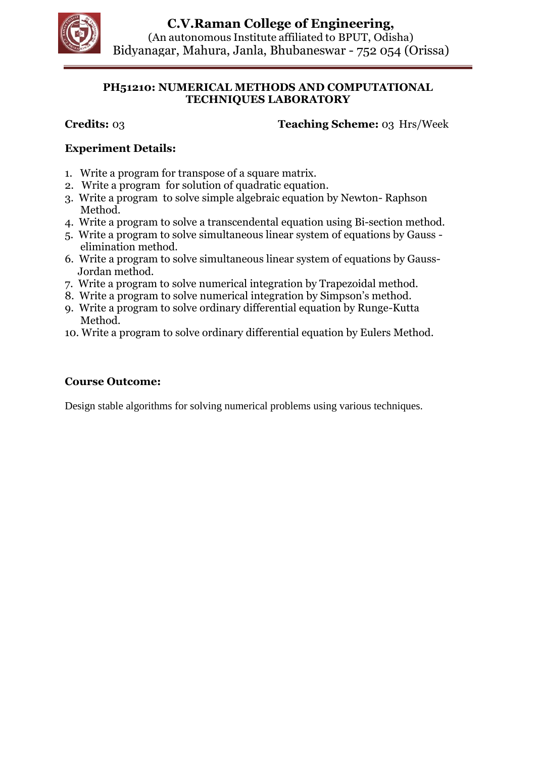

## **PH51210: NUMERICAL METHODS AND COMPUTATIONAL TECHNIQUES LABORATORY**

**Credits:** 03 **Teaching Scheme:** 03 Hrs/Week

# **Experiment Details:**

- 1. Write a program for transpose of a square matrix.
- 2. Write a program for solution of quadratic equation.
- 3. Write a program to solve simple algebraic equation by Newton- Raphson Method.
- 4. Write a program to solve a transcendental equation using Bi-section method.
- 5. Write a program to solve simultaneous linear system of equations by Gauss elimination method.
- 6. Write a program to solve simultaneous linear system of equations by Gauss- Jordan method.
- 7. Write a program to solve numerical integration by Trapezoidal method.
- 8. Write a program to solve numerical integration by Simpson's method.
- 9. Write a program to solve ordinary differential equation by Runge-Kutta Method.
- 10. Write a program to solve ordinary differential equation by Eulers Method.

## **Course Outcome:**

Design stable algorithms for solving numerical problems using various techniques.